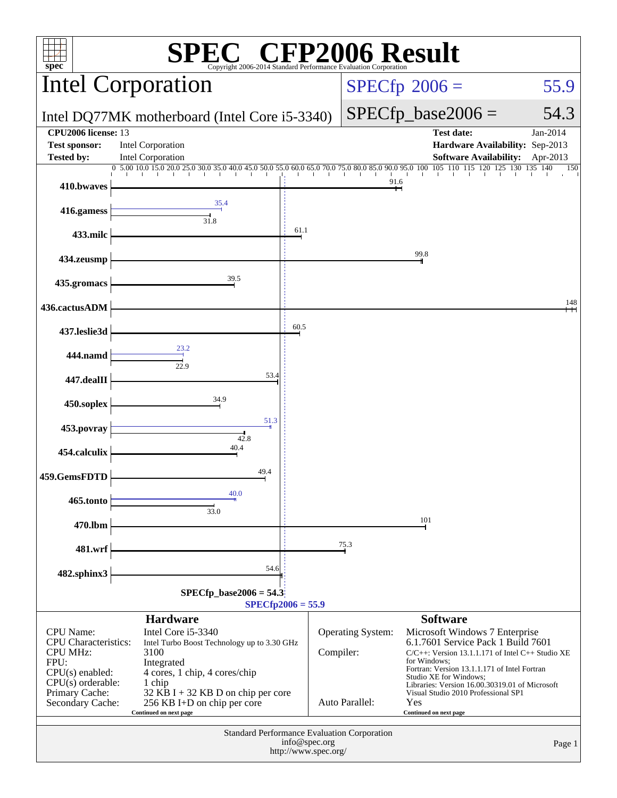| $\mathbb{C}^{\scriptscriptstyle \circledast}$ CFP2006 Result<br>spec®<br>Copyright 2006-2014 Standard Performance Evaluation Corporation                                                                                                                                                                                         |                                                                                                                                                                                                                                                     |      |                                       |                                                                                                                                                                                                                                                                                                                                     |  |  |  |
|----------------------------------------------------------------------------------------------------------------------------------------------------------------------------------------------------------------------------------------------------------------------------------------------------------------------------------|-----------------------------------------------------------------------------------------------------------------------------------------------------------------------------------------------------------------------------------------------------|------|---------------------------------------|-------------------------------------------------------------------------------------------------------------------------------------------------------------------------------------------------------------------------------------------------------------------------------------------------------------------------------------|--|--|--|
|                                                                                                                                                                                                                                                                                                                                  | <b>Intel Corporation</b>                                                                                                                                                                                                                            |      |                                       | $SPECfp^{\circ}2006 =$<br>55.9                                                                                                                                                                                                                                                                                                      |  |  |  |
|                                                                                                                                                                                                                                                                                                                                  | Intel DQ77MK motherboard (Intel Core i5-3340)                                                                                                                                                                                                       |      |                                       | $SPECfp\_base2006 =$<br>54.3                                                                                                                                                                                                                                                                                                        |  |  |  |
| <b>CPU2006</b> license: 13<br><b>Test sponsor:</b>                                                                                                                                                                                                                                                                               | Intel Corporation                                                                                                                                                                                                                                   |      |                                       | <b>Test date:</b><br>Jan-2014<br>Hardware Availability: Sep-2013                                                                                                                                                                                                                                                                    |  |  |  |
| <b>Tested by:</b>                                                                                                                                                                                                                                                                                                                | Intel Corporation<br>$0.5,00.10,0.15,0.20,0.25,0.30,0.35,0.40,0.45,0.50,0.65,0.70,0.75,0.80,0.85,0.90,0.95,0.10,0.105,110.115,120.125,130.135,140.165,151.165,160.165,175.185,185.195,195.195,101.195,110.115,120.125,130.135,140.135,151.165,152.$ |      |                                       | <b>Software Availability:</b><br>Apr-2013<br>150                                                                                                                                                                                                                                                                                    |  |  |  |
| 410.bwaves                                                                                                                                                                                                                                                                                                                       |                                                                                                                                                                                                                                                     |      | 91.6                                  |                                                                                                                                                                                                                                                                                                                                     |  |  |  |
| 416.gamess                                                                                                                                                                                                                                                                                                                       | 35.4<br>$\frac{1}{31.8}$                                                                                                                                                                                                                            |      |                                       |                                                                                                                                                                                                                                                                                                                                     |  |  |  |
| 433.milc                                                                                                                                                                                                                                                                                                                         |                                                                                                                                                                                                                                                     | 61.1 |                                       |                                                                                                                                                                                                                                                                                                                                     |  |  |  |
| 434.zeusmp                                                                                                                                                                                                                                                                                                                       |                                                                                                                                                                                                                                                     |      |                                       | 99.8                                                                                                                                                                                                                                                                                                                                |  |  |  |
| 435.gromacs                                                                                                                                                                                                                                                                                                                      | 39.5                                                                                                                                                                                                                                                |      |                                       |                                                                                                                                                                                                                                                                                                                                     |  |  |  |
| 436.cactusADM                                                                                                                                                                                                                                                                                                                    |                                                                                                                                                                                                                                                     |      |                                       | 148                                                                                                                                                                                                                                                                                                                                 |  |  |  |
| 437.leslie3d                                                                                                                                                                                                                                                                                                                     |                                                                                                                                                                                                                                                     | 60.5 |                                       |                                                                                                                                                                                                                                                                                                                                     |  |  |  |
| 444.namd                                                                                                                                                                                                                                                                                                                         | $\frac{1}{22.9}$                                                                                                                                                                                                                                    |      |                                       |                                                                                                                                                                                                                                                                                                                                     |  |  |  |
| 447.dealII                                                                                                                                                                                                                                                                                                                       | 53.4                                                                                                                                                                                                                                                |      |                                       |                                                                                                                                                                                                                                                                                                                                     |  |  |  |
| 450.soplex                                                                                                                                                                                                                                                                                                                       | 34.9<br>51.3                                                                                                                                                                                                                                        |      |                                       |                                                                                                                                                                                                                                                                                                                                     |  |  |  |
| 453.povray                                                                                                                                                                                                                                                                                                                       | 42.8                                                                                                                                                                                                                                                |      |                                       |                                                                                                                                                                                                                                                                                                                                     |  |  |  |
| 454.calculix                                                                                                                                                                                                                                                                                                                     | 40.4                                                                                                                                                                                                                                                |      |                                       |                                                                                                                                                                                                                                                                                                                                     |  |  |  |
| 459.GemsFDTD                                                                                                                                                                                                                                                                                                                     | 49.4<br>40.0                                                                                                                                                                                                                                        |      |                                       |                                                                                                                                                                                                                                                                                                                                     |  |  |  |
| 465.tonto                                                                                                                                                                                                                                                                                                                        | 33.0                                                                                                                                                                                                                                                |      |                                       |                                                                                                                                                                                                                                                                                                                                     |  |  |  |
| 470.lbm                                                                                                                                                                                                                                                                                                                          |                                                                                                                                                                                                                                                     |      |                                       | 101                                                                                                                                                                                                                                                                                                                                 |  |  |  |
| 481.wrf                                                                                                                                                                                                                                                                                                                          |                                                                                                                                                                                                                                                     |      | 75.3                                  |                                                                                                                                                                                                                                                                                                                                     |  |  |  |
| 482.sphinx3                                                                                                                                                                                                                                                                                                                      | 54.6                                                                                                                                                                                                                                                |      |                                       |                                                                                                                                                                                                                                                                                                                                     |  |  |  |
| $SPECfp\_base2006 = 54.3$<br>$SPECfp2006 = 55.9$                                                                                                                                                                                                                                                                                 |                                                                                                                                                                                                                                                     |      |                                       |                                                                                                                                                                                                                                                                                                                                     |  |  |  |
| <b>Hardware</b><br>CPU Name:<br>Intel Core i5-3340<br><b>CPU</b> Characteristics:<br>Intel Turbo Boost Technology up to 3.30 GHz<br><b>CPU MHz:</b><br>3100<br>FPU:<br>Integrated<br>$CPU(s)$ enabled:<br>4 cores, 1 chip, 4 cores/chip<br>$CPU(s)$ orderable:<br>1 chip<br>Primary Cache:<br>32 KB I + 32 KB D on chip per core |                                                                                                                                                                                                                                                     |      | <b>Operating System:</b><br>Compiler: | <b>Software</b><br>Microsoft Windows 7 Enterprise<br>6.1.7601 Service Pack 1 Build 7601<br>$C/C++$ : Version 13.1.1.171 of Intel $C++$ Studio XE<br>for Windows:<br>Fortran: Version 13.1.1.171 of Intel Fortran<br>Studio XE for Windows;<br>Libraries: Version 16.00.30319.01 of Microsoft<br>Visual Studio 2010 Professional SP1 |  |  |  |
| Secondary Cache:                                                                                                                                                                                                                                                                                                                 | 256 KB I+D on chip per core<br>Continued on next page                                                                                                                                                                                               |      | Auto Parallel:                        | Yes<br>Continued on next page                                                                                                                                                                                                                                                                                                       |  |  |  |
| Standard Performance Evaluation Corporation<br>info@spec.org<br>Page 1<br>http://www.spec.org/                                                                                                                                                                                                                                   |                                                                                                                                                                                                                                                     |      |                                       |                                                                                                                                                                                                                                                                                                                                     |  |  |  |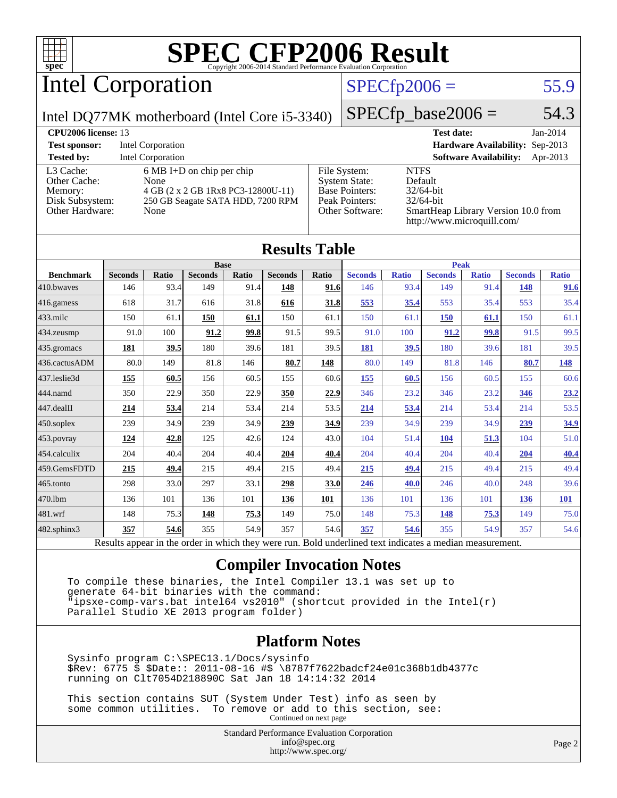

# Intel Corporation

### $SPECfp2006 = 55.9$  $SPECfp2006 = 55.9$

Intel DQ77MK motherboard (Intel Core i5-3340)

 $SPECTp\_base2006 = 54.3$ 

| <b>CPU2006 license: 13</b>                                                 |                                                                                                                                |                                                                                                    | <b>Test date:</b><br>$Jan-2014$                                                                                             |
|----------------------------------------------------------------------------|--------------------------------------------------------------------------------------------------------------------------------|----------------------------------------------------------------------------------------------------|-----------------------------------------------------------------------------------------------------------------------------|
| <b>Test sponsor:</b>                                                       | Intel Corporation                                                                                                              |                                                                                                    | Hardware Availability: Sep-2013                                                                                             |
| <b>Tested by:</b>                                                          | <b>Intel Corporation</b>                                                                                                       |                                                                                                    | <b>Software Availability:</b><br>Apr-2013                                                                                   |
| L3 Cache:<br>Other Cache:<br>Memory:<br>Disk Subsystem:<br>Other Hardware: | $6 \text{ MB I+D}$ on chip per chip<br>None<br>4 GB (2 x 2 GB 1Rx8 PC3-12800U-11)<br>250 GB Seagate SATA HDD, 7200 RPM<br>None | File System:<br><b>System State:</b><br><b>Base Pointers:</b><br>Peak Pointers:<br>Other Software: | <b>NTFS</b><br>Default<br>$32/64$ -bit<br>$32/64$ -bit<br>SmartHeap Library Version 10.0 from<br>http://www.microquill.com/ |

| <b>Results Table</b> |                |       |                |       |                |       |                |              |                |              |                |              |
|----------------------|----------------|-------|----------------|-------|----------------|-------|----------------|--------------|----------------|--------------|----------------|--------------|
|                      | <b>Base</b>    |       |                |       | <b>Peak</b>    |       |                |              |                |              |                |              |
| <b>Benchmark</b>     | <b>Seconds</b> | Ratio | <b>Seconds</b> | Ratio | <b>Seconds</b> | Ratio | <b>Seconds</b> | <b>Ratio</b> | <b>Seconds</b> | <b>Ratio</b> | <b>Seconds</b> | <b>Ratio</b> |
| 410.bwayes           | 146            | 93.4  | 149            | 91.4  | 148            | 91.6  | 146            | 93.4         | 149            | 91.4         | 148            | 91.6         |
| 416.gamess           | 618            | 31.7  | 616            | 31.8  | 616            | 31.8  | 553            | 35.4         | 553            | 35.4         | 553            | 35.4         |
| 433.milc             | 150            | 61.1  | 150            | 61.1  | 150            | 61.1  | 150            | 61.1         | 150            | 61.1         | 150            | 61.1         |
| 434.zeusmp           | 91.0           | 100   | 91.2           | 99.8  | 91.5           | 99.5  | 91.0           | 100          | 91.2           | 99.8         | 91.5           | 99.5         |
| 435.gromacs          | 181            | 39.5  | 180            | 39.6  | 181            | 39.5  | 181            | 39.5         | 180            | 39.6         | 181            | 39.5         |
| 436.cactusADM        | 80.0           | 149   | 81.8           | 146   | 80.7           | 148   | 80.0           | 149          | 81.8           | 146          | 80.7           | <u>148</u>   |
| 437.leslie3d         | 155            | 60.5  | 156            | 60.5  | 155            | 60.6  | <u>155</u>     | 60.5         | 156            | 60.5         | 155            | 60.6         |
| 444.namd             | 350            | 22.9  | 350            | 22.9  | 350            | 22.9  | 346            | 23.2         | 346            | 23.2         | 346            | 23.2         |
| 447.dealII           | 214            | 53.4  | 214            | 53.4  | 214            | 53.5  | 214            | 53.4         | 214            | 53.4         | 214            | 53.5         |
| 450.soplex           | 239            | 34.9  | 239            | 34.9  | 239            | 34.9  | 239            | 34.9         | 239            | 34.9         | 239            | 34.9         |
| 453.povray           | 124            | 42.8  | 125            | 42.6  | 124            | 43.0  | 104            | 51.4         | 104            | 51.3         | 104            | 51.0         |
| 454.calculix         | 204            | 40.4  | 204            | 40.4  | 204            | 40.4  | 204            | 40.4         | 204            | 40.4         | 204            | 40.4         |
| 459.GemsFDTD         | 215            | 49.4  | 215            | 49.4  | 215            | 49.4  | 215            | 49.4         | 215            | 49.4         | 215            | 49.4         |
| 465.tonto            | 298            | 33.0  | 297            | 33.1  | 298            | 33.0  | 246            | 40.0         | 246            | 40.0         | 248            | 39.6         |
| 470.1bm              | 136            | 101   | 136            | 101   | 136            | 101   | 136            | 101          | 136            | 101          | <b>136</b>     | 101          |
| 481.wrf              | 148            | 75.3  | 148            | 75.3  | 149            | 75.0  | 148            | 75.3         | 148            | 75.3         | 149            | 75.0         |
| 482.sphinx3          | 357            | 54.6  | 355            | 54.9  | 357            | 54.6  | 357            | 54.6         | 355            | 54.9         | 357            | 54.6         |

Results appear in the [order in which they were run.](http://www.spec.org/auto/cpu2006/Docs/result-fields.html#RunOrder) Bold underlined text [indicates a median measurement.](http://www.spec.org/auto/cpu2006/Docs/result-fields.html#Median)

### **[Compiler Invocation Notes](http://www.spec.org/auto/cpu2006/Docs/result-fields.html#CompilerInvocationNotes)**

 To compile these binaries, the Intel Compiler 13.1 was set up to generate 64-bit binaries with the command: "ipsxe-comp-vars.bat intel64 vs2010" (shortcut provided in the Intel(r) Parallel Studio XE 2013 program folder)

### **[Platform Notes](http://www.spec.org/auto/cpu2006/Docs/result-fields.html#PlatformNotes)**

 Sysinfo program C:\SPEC13.1/Docs/sysinfo \$Rev: 6775 \$ \$Date:: 2011-08-16 #\$ \8787f7622badcf24e01c368b1db4377c running on Clt7054D218890C Sat Jan 18 14:14:32 2014

 This section contains SUT (System Under Test) info as seen by some common utilities. To remove or add to this section, see: Continued on next page

> Standard Performance Evaluation Corporation [info@spec.org](mailto:info@spec.org) <http://www.spec.org/>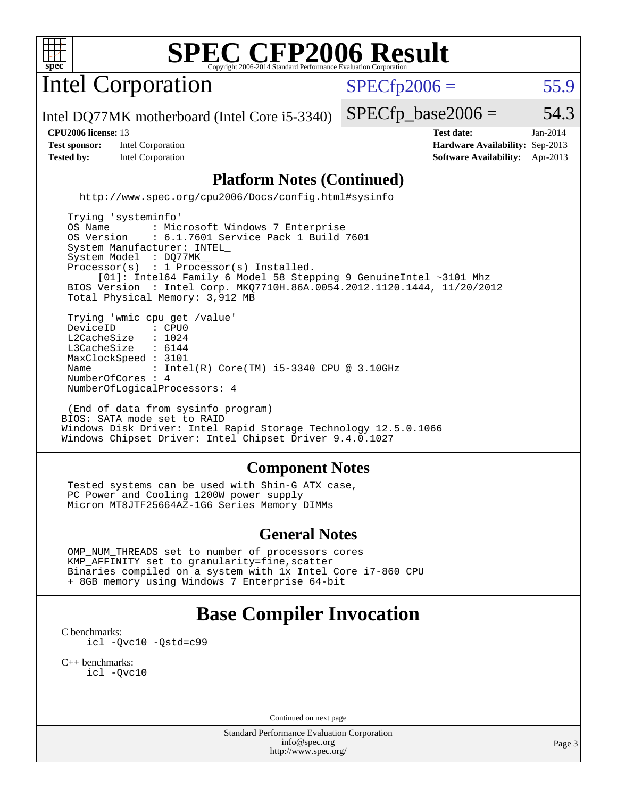

Intel Corporation

 $SPECTp2006 = 55.9$ 

Intel DQ77MK motherboard (Intel Core i5-3340)

**[Test sponsor:](http://www.spec.org/auto/cpu2006/Docs/result-fields.html#Testsponsor)** Intel Corporation **[Hardware Availability:](http://www.spec.org/auto/cpu2006/Docs/result-fields.html#HardwareAvailability)** Sep-2013

 $SPECTp\_base2006 = 54.3$ 

**[CPU2006 license:](http://www.spec.org/auto/cpu2006/Docs/result-fields.html#CPU2006license)** 13 **[Test date:](http://www.spec.org/auto/cpu2006/Docs/result-fields.html#Testdate)** Jan-2014 **[Tested by:](http://www.spec.org/auto/cpu2006/Docs/result-fields.html#Testedby)** Intel Corporation **[Software Availability:](http://www.spec.org/auto/cpu2006/Docs/result-fields.html#SoftwareAvailability)** Apr-2013

### **[Platform Notes \(Continued\)](http://www.spec.org/auto/cpu2006/Docs/result-fields.html#PlatformNotes)**

<http://www.spec.org/cpu2006/Docs/config.html#sysinfo>

 Trying 'systeminfo' OS Name : Microsoft Windows 7 Enterprise<br>OS Version : 6.1.7601 Service Pack 1 Build : 6.1.7601 Service Pack 1 Build 7601 System Manufacturer: INTEL\_ System Model : DQ77MK Processor(s) : 1 Processor(s) Installed. [01]: Intel64 Family 6 Model 58 Stepping 9 GenuineIntel ~3101 Mhz BIOS Version : Intel Corp. MKQ7710H.86A.0054.2012.1120.1444, 11/20/2012 Total Physical Memory: 3,912 MB Trying 'wmic cpu get /value' DeviceID : CPU0<br>L2CacheSize : 1024 L2CacheSize : 1024<br>L3CacheSize : 6144 L3CacheSize MaxClockSpeed : 3101 Name : Intel(R) Core(TM) i5-3340 CPU @ 3.10GHz NumberOfCores : 4 NumberOfLogicalProcessors: 4

 (End of data from sysinfo program) BIOS: SATA mode set to RAID Windows Disk Driver: Intel Rapid Storage Technology 12.5.0.1066 Windows Chipset Driver: Intel Chipset Driver 9.4.0.1027

#### **[Component Notes](http://www.spec.org/auto/cpu2006/Docs/result-fields.html#ComponentNotes)**

 Tested systems can be used with Shin-G ATX case, PC Power and Cooling 1200W power supply Micron MT8JTF25664AZ-1G6 Series Memory DIMMs

#### **[General Notes](http://www.spec.org/auto/cpu2006/Docs/result-fields.html#GeneralNotes)**

 OMP\_NUM\_THREADS set to number of processors cores KMP\_AFFINITY set to granularity=fine,scatter Binaries compiled on a system with 1x Intel Core i7-860 CPU + 8GB memory using Windows 7 Enterprise 64-bit

# **[Base Compiler Invocation](http://www.spec.org/auto/cpu2006/Docs/result-fields.html#BaseCompilerInvocation)**

[C benchmarks](http://www.spec.org/auto/cpu2006/Docs/result-fields.html#Cbenchmarks): [icl -Qvc10](http://www.spec.org/cpu2006/results/res2014q3/cpu2006-20140701-30170.flags.html#user_CCbase_intel_icc_vc10_9607f3ecbcdf68042245f068e51b40c1) [-Qstd=c99](http://www.spec.org/cpu2006/results/res2014q3/cpu2006-20140701-30170.flags.html#user_CCbase_intel_compiler_c99_mode_1a3d110e3041b3ad4466830521bdad2a)

[C++ benchmarks:](http://www.spec.org/auto/cpu2006/Docs/result-fields.html#CXXbenchmarks) [icl -Qvc10](http://www.spec.org/cpu2006/results/res2014q3/cpu2006-20140701-30170.flags.html#user_CXXbase_intel_icc_vc10_9607f3ecbcdf68042245f068e51b40c1)

Continued on next page

Standard Performance Evaluation Corporation [info@spec.org](mailto:info@spec.org) <http://www.spec.org/>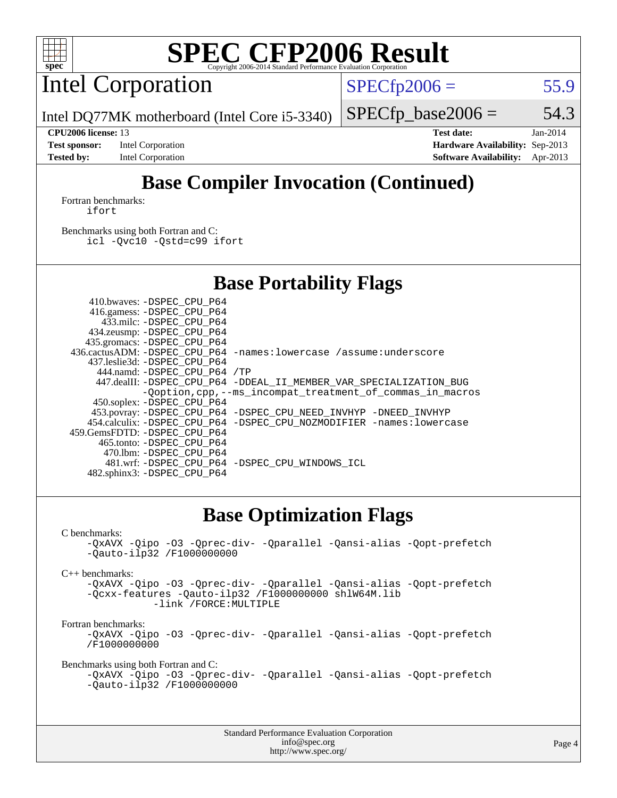

Intel Corporation

 $SPECTp2006 = 55.9$ 

Intel DQ77MK motherboard (Intel Core i5-3340)

**[Test sponsor:](http://www.spec.org/auto/cpu2006/Docs/result-fields.html#Testsponsor)** Intel Corporation **[Hardware Availability:](http://www.spec.org/auto/cpu2006/Docs/result-fields.html#HardwareAvailability)** Sep-2013 **[Tested by:](http://www.spec.org/auto/cpu2006/Docs/result-fields.html#Testedby)** Intel Corporation **[Software Availability:](http://www.spec.org/auto/cpu2006/Docs/result-fields.html#SoftwareAvailability)** Apr-2013

 $SPECTp\_base2006 = 54.3$ **[CPU2006 license:](http://www.spec.org/auto/cpu2006/Docs/result-fields.html#CPU2006license)** 13 **[Test date:](http://www.spec.org/auto/cpu2006/Docs/result-fields.html#Testdate)** Jan-2014

# **[Base Compiler Invocation \(Continued\)](http://www.spec.org/auto/cpu2006/Docs/result-fields.html#BaseCompilerInvocation)**

[Fortran benchmarks](http://www.spec.org/auto/cpu2006/Docs/result-fields.html#Fortranbenchmarks): [ifort](http://www.spec.org/cpu2006/results/res2014q3/cpu2006-20140701-30170.flags.html#user_FCbase_intel_ifort_8a5e5e06b19a251bdeaf8fdab5d62f20)

[Benchmarks using both Fortran and C](http://www.spec.org/auto/cpu2006/Docs/result-fields.html#BenchmarksusingbothFortranandC): [icl -Qvc10](http://www.spec.org/cpu2006/results/res2014q3/cpu2006-20140701-30170.flags.html#user_CC_FCbase_intel_icc_vc10_9607f3ecbcdf68042245f068e51b40c1) [-Qstd=c99](http://www.spec.org/cpu2006/results/res2014q3/cpu2006-20140701-30170.flags.html#user_CC_FCbase_intel_compiler_c99_mode_1a3d110e3041b3ad4466830521bdad2a) [ifort](http://www.spec.org/cpu2006/results/res2014q3/cpu2006-20140701-30170.flags.html#user_CC_FCbase_intel_ifort_8a5e5e06b19a251bdeaf8fdab5d62f20)

# **[Base Portability Flags](http://www.spec.org/auto/cpu2006/Docs/result-fields.html#BasePortabilityFlags)**

| 410.bwaves: -DSPEC CPU P64   |                                                                          |
|------------------------------|--------------------------------------------------------------------------|
| 416.gamess: -DSPEC_CPU_P64   |                                                                          |
| 433.milc: -DSPEC CPU P64     |                                                                          |
| 434.zeusmp: -DSPEC_CPU_P64   |                                                                          |
| 435.gromacs: -DSPEC_CPU_P64  |                                                                          |
|                              | 436.cactusADM: -DSPEC CPU P64 -names: lowercase /assume: underscore      |
| 437.leslie3d: -DSPEC CPU P64 |                                                                          |
| 444.namd: -DSPEC CPU P64 /TP |                                                                          |
|                              | 447.dealII: -DSPEC CPU_P64 -DDEAL_II_MEMBER_VAR_SPECIALIZATION_BUG       |
|                              | -Ooption, cpp, --ms incompat treatment of commas in macros               |
| 450.soplex: -DSPEC CPU P64   |                                                                          |
|                              | 453.povray: -DSPEC_CPU_P64 -DSPEC_CPU_NEED_INVHYP -DNEED_INVHYP          |
|                              | 454.calculix: - DSPEC CPU P64 - DSPEC CPU NOZMODIFIER - names: lowercase |
| 459.GemsFDTD: -DSPEC_CPU_P64 |                                                                          |
| 465.tonto: -DSPEC CPU P64    |                                                                          |
| 470.1bm: -DSPEC CPU P64      |                                                                          |
|                              | 481.wrf: - DSPEC CPU P64 - DSPEC CPU WINDOWS ICL                         |
| 482.sphinx3: -DSPEC_CPU_P64  |                                                                          |
|                              |                                                                          |

## **[Base Optimization Flags](http://www.spec.org/auto/cpu2006/Docs/result-fields.html#BaseOptimizationFlags)**

[C benchmarks](http://www.spec.org/auto/cpu2006/Docs/result-fields.html#Cbenchmarks):

[-QxAVX](http://www.spec.org/cpu2006/results/res2014q3/cpu2006-20140701-30170.flags.html#user_CCbase_f-QxAVX) [-Qipo](http://www.spec.org/cpu2006/results/res2014q3/cpu2006-20140701-30170.flags.html#user_CCbase_f-Qipo) [-O3](http://www.spec.org/cpu2006/results/res2014q3/cpu2006-20140701-30170.flags.html#user_CCbase_f-O3) [-Qprec-div-](http://www.spec.org/cpu2006/results/res2014q3/cpu2006-20140701-30170.flags.html#user_CCbase_f-Qprec-div-) [-Qparallel](http://www.spec.org/cpu2006/results/res2014q3/cpu2006-20140701-30170.flags.html#user_CCbase_f-Qparallel) [-Qansi-alias](http://www.spec.org/cpu2006/results/res2014q3/cpu2006-20140701-30170.flags.html#user_CCbase_f-Qansi-alias) [-Qopt-prefetch](http://www.spec.org/cpu2006/results/res2014q3/cpu2006-20140701-30170.flags.html#user_CCbase_f-Qprefetch_37c211608666b9dff9380561f602f0a8) [-Qauto-ilp32](http://www.spec.org/cpu2006/results/res2014q3/cpu2006-20140701-30170.flags.html#user_CCbase_f-Qauto-ilp32) [/F1000000000](http://www.spec.org/cpu2006/results/res2014q3/cpu2006-20140701-30170.flags.html#user_CCbase_set_stack_space_25d7749c1988d91b7f93afbc0ec53727)

[C++ benchmarks:](http://www.spec.org/auto/cpu2006/Docs/result-fields.html#CXXbenchmarks)

[-QxAVX](http://www.spec.org/cpu2006/results/res2014q3/cpu2006-20140701-30170.flags.html#user_CXXbase_f-QxAVX) [-Qipo](http://www.spec.org/cpu2006/results/res2014q3/cpu2006-20140701-30170.flags.html#user_CXXbase_f-Qipo) [-O3](http://www.spec.org/cpu2006/results/res2014q3/cpu2006-20140701-30170.flags.html#user_CXXbase_f-O3) [-Qprec-div-](http://www.spec.org/cpu2006/results/res2014q3/cpu2006-20140701-30170.flags.html#user_CXXbase_f-Qprec-div-) [-Qparallel](http://www.spec.org/cpu2006/results/res2014q3/cpu2006-20140701-30170.flags.html#user_CXXbase_f-Qparallel) [-Qansi-alias](http://www.spec.org/cpu2006/results/res2014q3/cpu2006-20140701-30170.flags.html#user_CXXbase_f-Qansi-alias) [-Qopt-prefetch](http://www.spec.org/cpu2006/results/res2014q3/cpu2006-20140701-30170.flags.html#user_CXXbase_f-Qprefetch_37c211608666b9dff9380561f602f0a8) [-Qcxx-features](http://www.spec.org/cpu2006/results/res2014q3/cpu2006-20140701-30170.flags.html#user_CXXbase_f-Qcxx_features_dbf36c8a6dba956e22f1645e4dcd4d98) [-Qauto-ilp32](http://www.spec.org/cpu2006/results/res2014q3/cpu2006-20140701-30170.flags.html#user_CXXbase_f-Qauto-ilp32) [/F1000000000](http://www.spec.org/cpu2006/results/res2014q3/cpu2006-20140701-30170.flags.html#user_CXXbase_set_stack_space_25d7749c1988d91b7f93afbc0ec53727) [shlW64M.lib](http://www.spec.org/cpu2006/results/res2014q3/cpu2006-20140701-30170.flags.html#user_CXXbase_SmartHeap64_c4f7f76711bdf8c0633a5c1edf6e5396)  [-link /FORCE:MULTIPLE](http://www.spec.org/cpu2006/results/res2014q3/cpu2006-20140701-30170.flags.html#user_CXXbase_link_force_multiple2_070fe330869edf77077b841074b8b0b6)

[Fortran benchmarks](http://www.spec.org/auto/cpu2006/Docs/result-fields.html#Fortranbenchmarks):

[-QxAVX](http://www.spec.org/cpu2006/results/res2014q3/cpu2006-20140701-30170.flags.html#user_FCbase_f-QxAVX) [-Qipo](http://www.spec.org/cpu2006/results/res2014q3/cpu2006-20140701-30170.flags.html#user_FCbase_f-Qipo) [-O3](http://www.spec.org/cpu2006/results/res2014q3/cpu2006-20140701-30170.flags.html#user_FCbase_f-O3) [-Qprec-div-](http://www.spec.org/cpu2006/results/res2014q3/cpu2006-20140701-30170.flags.html#user_FCbase_f-Qprec-div-) [-Qparallel](http://www.spec.org/cpu2006/results/res2014q3/cpu2006-20140701-30170.flags.html#user_FCbase_f-Qparallel) [-Qansi-alias](http://www.spec.org/cpu2006/results/res2014q3/cpu2006-20140701-30170.flags.html#user_FCbase_f-Qansi-alias) [-Qopt-prefetch](http://www.spec.org/cpu2006/results/res2014q3/cpu2006-20140701-30170.flags.html#user_FCbase_f-Qprefetch_37c211608666b9dff9380561f602f0a8) [/F1000000000](http://www.spec.org/cpu2006/results/res2014q3/cpu2006-20140701-30170.flags.html#user_FCbase_set_stack_space_25d7749c1988d91b7f93afbc0ec53727)

[Benchmarks using both Fortran and C](http://www.spec.org/auto/cpu2006/Docs/result-fields.html#BenchmarksusingbothFortranandC):

```
-QxAVX -Qipo -O3 -Qprec-div- -Qparallel -Qansi-alias -Qopt-prefetch
-Qauto-ilp32 /F1000000000
```

| <b>Standard Performance Evaluation Corporation</b> |
|----------------------------------------------------|
| info@spec.org                                      |
| http://www.spec.org/                               |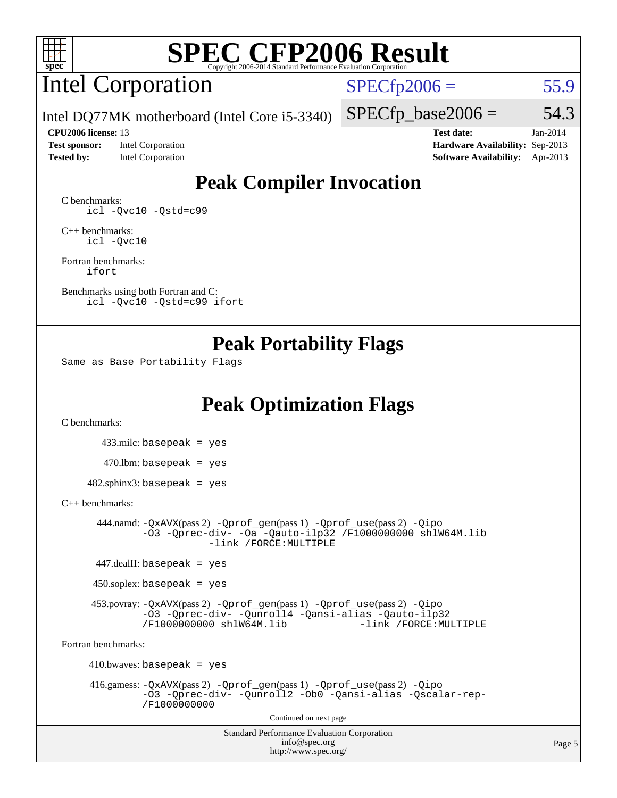

# Intel Corporation

 $SPECfp2006 = 55.9$  $SPECfp2006 = 55.9$ 

Intel DQ77MK motherboard (Intel Core i5-3340)

**[Test sponsor:](http://www.spec.org/auto/cpu2006/Docs/result-fields.html#Testsponsor)** Intel Corporation **[Hardware Availability:](http://www.spec.org/auto/cpu2006/Docs/result-fields.html#HardwareAvailability)** Sep-2013

 $SPECTp\_base2006 = 54.3$ **[CPU2006 license:](http://www.spec.org/auto/cpu2006/Docs/result-fields.html#CPU2006license)** 13 **[Test date:](http://www.spec.org/auto/cpu2006/Docs/result-fields.html#Testdate)** Jan-2014

**[Tested by:](http://www.spec.org/auto/cpu2006/Docs/result-fields.html#Testedby)** Intel Corporation **[Software Availability:](http://www.spec.org/auto/cpu2006/Docs/result-fields.html#SoftwareAvailability)** Apr-2013

# **[Peak Compiler Invocation](http://www.spec.org/auto/cpu2006/Docs/result-fields.html#PeakCompilerInvocation)**

[C benchmarks](http://www.spec.org/auto/cpu2006/Docs/result-fields.html#Cbenchmarks): [icl -Qvc10](http://www.spec.org/cpu2006/results/res2014q3/cpu2006-20140701-30170.flags.html#user_CCpeak_intel_icc_vc10_9607f3ecbcdf68042245f068e51b40c1) [-Qstd=c99](http://www.spec.org/cpu2006/results/res2014q3/cpu2006-20140701-30170.flags.html#user_CCpeak_intel_compiler_c99_mode_1a3d110e3041b3ad4466830521bdad2a)

[C++ benchmarks:](http://www.spec.org/auto/cpu2006/Docs/result-fields.html#CXXbenchmarks) [icl -Qvc10](http://www.spec.org/cpu2006/results/res2014q3/cpu2006-20140701-30170.flags.html#user_CXXpeak_intel_icc_vc10_9607f3ecbcdf68042245f068e51b40c1)

[Fortran benchmarks](http://www.spec.org/auto/cpu2006/Docs/result-fields.html#Fortranbenchmarks): [ifort](http://www.spec.org/cpu2006/results/res2014q3/cpu2006-20140701-30170.flags.html#user_FCpeak_intel_ifort_8a5e5e06b19a251bdeaf8fdab5d62f20)

[Benchmarks using both Fortran and C](http://www.spec.org/auto/cpu2006/Docs/result-fields.html#BenchmarksusingbothFortranandC): [icl -Qvc10](http://www.spec.org/cpu2006/results/res2014q3/cpu2006-20140701-30170.flags.html#user_CC_FCpeak_intel_icc_vc10_9607f3ecbcdf68042245f068e51b40c1) [-Qstd=c99](http://www.spec.org/cpu2006/results/res2014q3/cpu2006-20140701-30170.flags.html#user_CC_FCpeak_intel_compiler_c99_mode_1a3d110e3041b3ad4466830521bdad2a) [ifort](http://www.spec.org/cpu2006/results/res2014q3/cpu2006-20140701-30170.flags.html#user_CC_FCpeak_intel_ifort_8a5e5e06b19a251bdeaf8fdab5d62f20)

### **[Peak Portability Flags](http://www.spec.org/auto/cpu2006/Docs/result-fields.html#PeakPortabilityFlags)**

Same as Base Portability Flags

# **[Peak Optimization Flags](http://www.spec.org/auto/cpu2006/Docs/result-fields.html#PeakOptimizationFlags)**

[C benchmarks](http://www.spec.org/auto/cpu2006/Docs/result-fields.html#Cbenchmarks):

 433.milc: basepeak = yes  $470.1$ bm: basepeak = yes  $482$ .sphinx3: basepeak = yes

[C++ benchmarks:](http://www.spec.org/auto/cpu2006/Docs/result-fields.html#CXXbenchmarks)

 444.namd: [-QxAVX](http://www.spec.org/cpu2006/results/res2014q3/cpu2006-20140701-30170.flags.html#user_peakPASS2_CXXFLAGSPASS2_LDFLAGS444_namd_f-QxAVX)(pass 2) [-Qprof\\_gen](http://www.spec.org/cpu2006/results/res2014q3/cpu2006-20140701-30170.flags.html#user_peakPASS1_CXXFLAGSPASS1_LDFLAGS444_namd_Qprof_gen)(pass 1) [-Qprof\\_use](http://www.spec.org/cpu2006/results/res2014q3/cpu2006-20140701-30170.flags.html#user_peakPASS2_CXXFLAGSPASS2_LDFLAGS444_namd_Qprof_use)(pass 2) [-Qipo](http://www.spec.org/cpu2006/results/res2014q3/cpu2006-20140701-30170.flags.html#user_peakOPTIMIZE444_namd_f-Qipo) [-O3](http://www.spec.org/cpu2006/results/res2014q3/cpu2006-20140701-30170.flags.html#user_peakOPTIMIZE444_namd_f-O3) [-Qprec-div-](http://www.spec.org/cpu2006/results/res2014q3/cpu2006-20140701-30170.flags.html#user_peakOPTIMIZE444_namd_f-Qprec-div-) [-Oa](http://www.spec.org/cpu2006/results/res2014q3/cpu2006-20140701-30170.flags.html#user_peakOPTIMIZE444_namd_f-Oa) [-Qauto-ilp32](http://www.spec.org/cpu2006/results/res2014q3/cpu2006-20140701-30170.flags.html#user_peakCXXOPTIMIZE444_namd_f-Qauto-ilp32) [/F1000000000](http://www.spec.org/cpu2006/results/res2014q3/cpu2006-20140701-30170.flags.html#user_peakEXTRA_LDFLAGS444_namd_set_stack_space_25d7749c1988d91b7f93afbc0ec53727) [shlW64M.lib](http://www.spec.org/cpu2006/results/res2014q3/cpu2006-20140701-30170.flags.html#user_peakEXTRA_LIBS444_namd_SmartHeap64_c4f7f76711bdf8c0633a5c1edf6e5396)  [-link /FORCE:MULTIPLE](http://www.spec.org/cpu2006/results/res2014q3/cpu2006-20140701-30170.flags.html#user_peakLDOUT444_namd_link_force_multiple2_070fe330869edf77077b841074b8b0b6)

447.dealII: basepeak = yes

 $450$ .soplex: basepeak = yes

 453.povray: [-QxAVX](http://www.spec.org/cpu2006/results/res2014q3/cpu2006-20140701-30170.flags.html#user_peakPASS2_CXXFLAGSPASS2_LDFLAGS453_povray_f-QxAVX)(pass 2) [-Qprof\\_gen](http://www.spec.org/cpu2006/results/res2014q3/cpu2006-20140701-30170.flags.html#user_peakPASS1_CXXFLAGSPASS1_LDFLAGS453_povray_Qprof_gen)(pass 1) [-Qprof\\_use](http://www.spec.org/cpu2006/results/res2014q3/cpu2006-20140701-30170.flags.html#user_peakPASS2_CXXFLAGSPASS2_LDFLAGS453_povray_Qprof_use)(pass 2) [-Qipo](http://www.spec.org/cpu2006/results/res2014q3/cpu2006-20140701-30170.flags.html#user_peakOPTIMIZE453_povray_f-Qipo) [-O3](http://www.spec.org/cpu2006/results/res2014q3/cpu2006-20140701-30170.flags.html#user_peakOPTIMIZE453_povray_f-O3) [-Qprec-div-](http://www.spec.org/cpu2006/results/res2014q3/cpu2006-20140701-30170.flags.html#user_peakOPTIMIZE453_povray_f-Qprec-div-) [-Qunroll4](http://www.spec.org/cpu2006/results/res2014q3/cpu2006-20140701-30170.flags.html#user_peakOPTIMIZE453_povray_f-Qunroll_013b1c0ea3aa84ef2c65e488bcc3d968) [-Qansi-alias](http://www.spec.org/cpu2006/results/res2014q3/cpu2006-20140701-30170.flags.html#user_peakOPTIMIZE453_povray_f-Qansi-alias) [-Qauto-ilp32](http://www.spec.org/cpu2006/results/res2014q3/cpu2006-20140701-30170.flags.html#user_peakCXXOPTIMIZE453_povray_f-Qauto-ilp32) [/F1000000000](http://www.spec.org/cpu2006/results/res2014q3/cpu2006-20140701-30170.flags.html#user_peakEXTRA_LDFLAGS453_povray_set_stack_space_25d7749c1988d91b7f93afbc0ec53727) [shlW64M.lib](http://www.spec.org/cpu2006/results/res2014q3/cpu2006-20140701-30170.flags.html#user_peakEXTRA_LIBS453_povray_SmartHeap64_c4f7f76711bdf8c0633a5c1edf6e5396)

[Fortran benchmarks](http://www.spec.org/auto/cpu2006/Docs/result-fields.html#Fortranbenchmarks):

 $410.bwaves: basepeak = yes$ 

```
 416.gamess: -QxAVX(pass 2) -Qprof_gen(pass 1) -Qprof_use(pass 2) -Qipo
         -O3 -Qprec-div- -Qunroll2 -Ob0 -Qansi-alias -Qscalar-rep-
         /F1000000000
```
Continued on next page

Standard Performance Evaluation Corporation [info@spec.org](mailto:info@spec.org) <http://www.spec.org/>